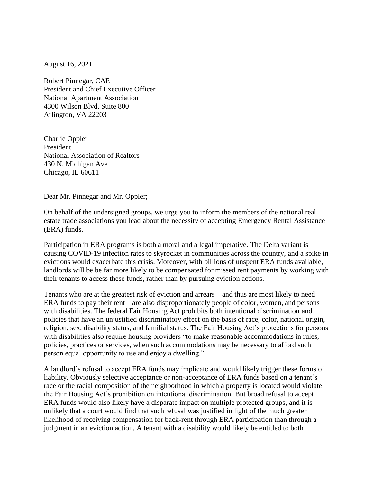August 16, 2021

Robert Pinnegar, CAE President and Chief Executive Officer National Apartment Association 4300 Wilson Blvd, Suite 800 Arlington, VA 22203

Charlie Oppler President National Association of Realtors 430 N. Michigan Ave Chicago, IL 60611

Dear Mr. Pinnegar and Mr. Oppler;

On behalf of the undersigned groups, we urge you to inform the members of the national real estate trade associations you lead about the necessity of accepting Emergency Rental Assistance (ERA) funds.

Participation in ERA programs is both a moral and a legal imperative. The Delta variant is causing COVID-19 infection rates to skyrocket in communities across the country, and a spike in evictions would exacerbate this crisis. Moreover, with billions of unspent ERA funds available, landlords will be be far more likely to be compensated for missed rent payments by working with their tenants to access these funds, rather than by pursuing eviction actions.

Tenants who are at the greatest risk of eviction and arrears—and thus are most likely to need ERA funds to pay their rent—are also disproportionately people of color, women, and persons with disabilities. The federal Fair Housing Act prohibits both intentional discrimination and policies that have an unjustified discriminatory effect on the basis of race, color, national origin, religion, sex, disability status, and familial status. The Fair Housing Act's protections for persons with disabilities also require housing providers "to make reasonable accommodations in rules, policies, practices or services, when such accommodations may be necessary to afford such person equal opportunity to use and enjoy a dwelling."

A landlord's refusal to accept ERA funds may implicate and would likely trigger these forms of liability. Obviously selective acceptance or non-acceptance of ERA funds based on a tenant's race or the racial composition of the neighborhood in which a property is located would violate the Fair Housing Act's prohibition on intentional discrimination. But broad refusal to accept ERA funds would also likely have a disparate impact on multiple protected groups, and it is unlikely that a court would find that such refusal was justified in light of the much greater likelihood of receiving compensation for back-rent through ERA participation than through a judgment in an eviction action. A tenant with a disability would likely be entitled to both